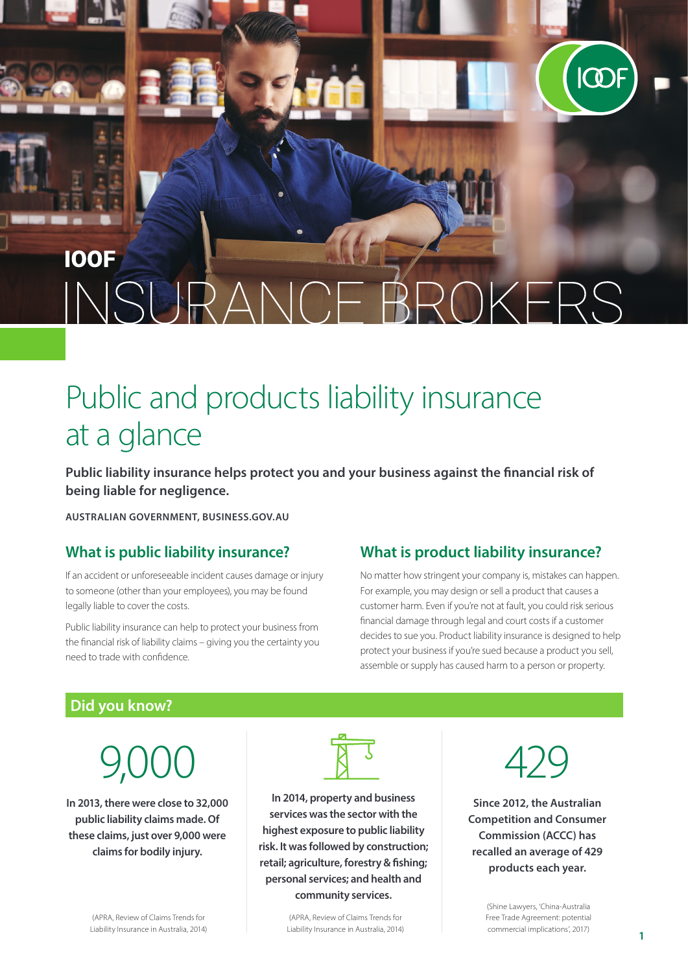## **IOOF** OKFRS NSURAN

# Public and products liability insurance at a glance

**Public liability insurance helps protect you and your business against the financial risk of being liable for negligence.**

**AUSTRALIAN GOVERNMENT, BUSINESS.GOV.AU**

#### **What is public liability insurance?**

If an accident or unforeseeable incident causes damage or injury to someone (other than your employees), you may be found legally liable to cover the costs.

Public liability insurance can help to protect your business from the financial risk of liability claims – giving you the certainty you need to trade with confidence.

#### **What is product liability insurance?**

No matter how stringent your company is, mistakes can happen. For example, you may design or sell a product that causes a customer harm. Even if you're not at fault, you could risk serious financial damage through legal and court costs if a customer decides to sue you. Product liability insurance is designed to help protect your business if you're sued because a product you sell, assemble or supply has caused harm to a person or property.

#### **Did you know?**

9,000

**In 2013, there were close to 32,000 public liability claims made. Of these claims, just over 9,000 were claims for bodily injury.** 



**In 2014, property and business services was the sector with the highest exposure to public liability risk. It was followed by construction; retail; agriculture, forestry & fishing; personal services; and health and community services.** 

> (APRA, Review of Claims Trends for Liability Insurance in Australia, 2014)



**ICOF** 

**Since 2012, the Australian Competition and Consumer Commission (ACCC) has recalled an average of 429 products each year.** 

> (Shine Lawyers, 'China-Australia Free Trade Agreement: potential commercial implications', 2017)